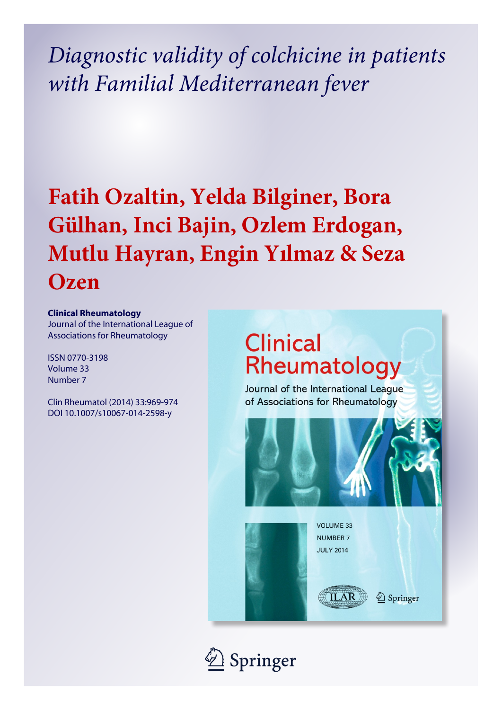*Diagnostic validity of colchicine in patients with Familial Mediterranean fever*

# **Fatih Ozaltin, Yelda Bilginer, Bora Gülhan, Inci Bajin, Ozlem Erdogan, Mutlu Hayran, Engin Yılmaz & Seza Ozen**

### **Clinical Rheumatology**

Journal of the International League of Associations for Rheumatology

ISSN 0770-3198 Volume 33 Number 7

Clin Rheumatol (2014) 33:969-974 DOI 10.1007/s10067-014-2598-y

## **Clinical** Rheumatology

Journal of the International League of Associations for Rheumatology



**VOLUME 33 NUMBER 7 JULY 2014** 

**ILAR** 

2 Springer

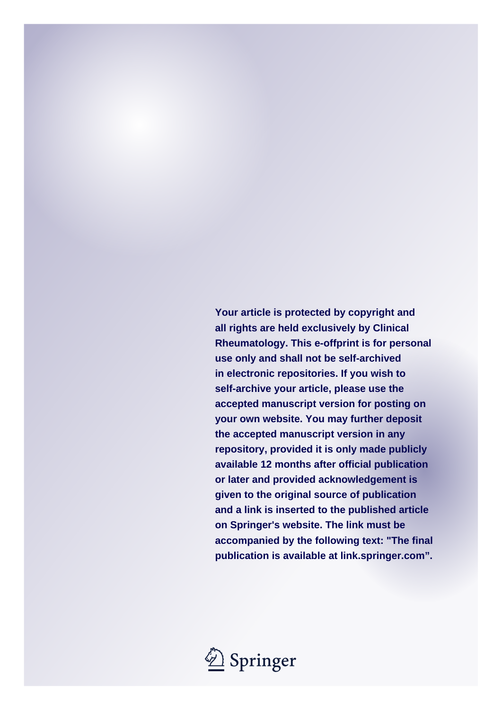**Your article is protected by copyright and all rights are held exclusively by Clinical Rheumatology. This e-offprint is for personal use only and shall not be self-archived in electronic repositories. If you wish to self-archive your article, please use the accepted manuscript version for posting on your own website. You may further deposit the accepted manuscript version in any repository, provided it is only made publicly available 12 months after official publication or later and provided acknowledgement is given to the original source of publication and a link is inserted to the published article on Springer's website. The link must be accompanied by the following text: "The final publication is available at link.springer.com".**

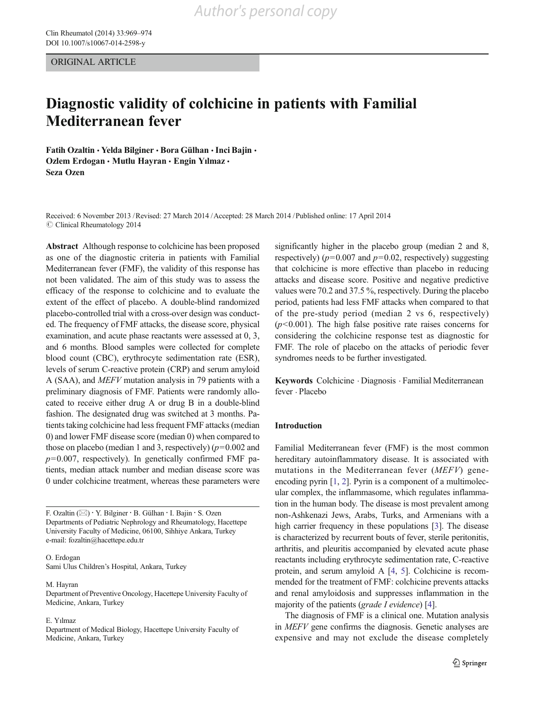ORIGINAL ARTICLE

### Diagnostic validity of colchicine in patients with Familial Mediterranean fever

Fatih Ozaltin & Yelda Bilginer & Bora Gülhan & Inci Bajin & Ozlem Erdogan • Mutlu Hayran • Engin Yılmaz • Seza Ozen

Received: 6 November 2013 /Revised: 27 March 2014 /Accepted: 28 March 2014 /Published online: 17 April 2014  $\oslash$  Clinical Rheumatology 2014

Abstract Although response to colchicine has been proposed as one of the diagnostic criteria in patients with Familial Mediterranean fever (FMF), the validity of this response has not been validated. The aim of this study was to assess the efficacy of the response to colchicine and to evaluate the extent of the effect of placebo. A double-blind randomized placebo-controlled trial with a cross-over design was conducted. The frequency of FMF attacks, the disease score, physical examination, and acute phase reactants were assessed at 0, 3, and 6 months. Blood samples were collected for complete blood count (CBC), erythrocyte sedimentation rate (ESR), levels of serum C-reactive protein (CRP) and serum amyloid A (SAA), and MEFV mutation analysis in 79 patients with a preliminary diagnosis of FMF. Patients were randomly allocated to receive either drug A or drug B in a double-blind fashion. The designated drug was switched at 3 months. Patients taking colchicine had less frequent FMF attacks (median 0) and lower FMF disease score (median 0) when compared to those on placebo (median 1 and 3, respectively)  $(p=0.002$  and  $p=0.007$ , respectively). In genetically confirmed FMF patients, median attack number and median disease score was 0 under colchicine treatment, whereas these parameters were

F. Ozaltin (\*) : Y. Bilginer : B. Gülhan : I. Bajin : S. Ozen Departments of Pediatric Nephrology and Rheumatology, Hacettepe University Faculty of Medicine, 06100, Sihhiye Ankara, Turkey e-mail: fozaltin@hacettepe.edu.tr

O. Erdogan Sami Ulus Children's Hospital, Ankara, Turkey

M. Hayran

Department of Preventive Oncology, Hacettepe University Faculty of Medicine, Ankara, Turkey

#### E. Yılmaz

Department of Medical Biology, Hacettepe University Faculty of Medicine, Ankara, Turkey

significantly higher in the placebo group (median 2 and 8, respectively) ( $p=0.007$  and  $p=0.02$ , respectively) suggesting that colchicine is more effective than placebo in reducing attacks and disease score. Positive and negative predictive values were 70.2 and 37.5 %, respectively. During the placebo period, patients had less FMF attacks when compared to that of the pre-study period (median 2 vs 6, respectively)  $(p<0.001)$ . The high false positive rate raises concerns for considering the colchicine response test as diagnostic for FMF. The role of placebo on the attacks of periodic fever syndromes needs to be further investigated.

Keywords Colchicine . Diagnosis . Familial Mediterranean fever . Placebo

#### Introduction

Familial Mediterranean fever (FMF) is the most common hereditary autoinflammatory disease. It is associated with mutations in the Mediterranean fever (MEFV) geneencoding pyrin [1, 2]. Pyrin is a component of a multimolecular complex, the inflammasome, which regulates inflammation in the human body. The disease is most prevalent among non-Ashkenazi Jews, Arabs, Turks, and Armenians with a high carrier frequency in these populations [3]. The disease is characterized by recurrent bouts of fever, sterile peritonitis, arthritis, and pleuritis accompanied by elevated acute phase reactants including erythrocyte sedimentation rate, C-reactive protein, and serum amyloid A [4, 5]. Colchicine is recommended for the treatment of FMF: colchicine prevents attacks and renal amyloidosis and suppresses inflammation in the majority of the patients (grade I evidence) [4].

The diagnosis of FMF is a clinical one. Mutation analysis in MEFV gene confirms the diagnosis. Genetic analyses are expensive and may not exclude the disease completely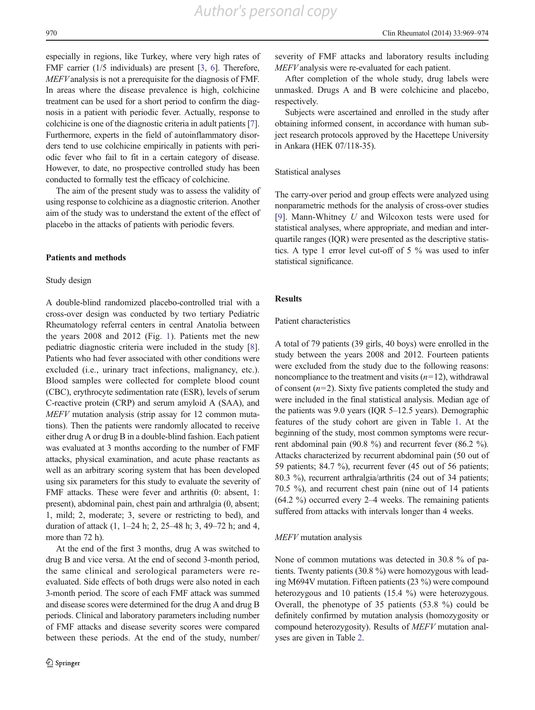*Author's personal copy*

especially in regions, like Turkey, where very high rates of FMF carrier (1/5 individuals) are present [3, 6]. Therefore, MEFVanalysis is not a prerequisite for the diagnosis of FMF. In areas where the disease prevalence is high, colchicine treatment can be used for a short period to confirm the diagnosis in a patient with periodic fever. Actually, response to colchicine is one of the diagnostic criteria in adult patients [7]. Furthermore, experts in the field of autoinflammatory disorders tend to use colchicine empirically in patients with periodic fever who fail to fit in a certain category of disease. However, to date, no prospective controlled study has been conducted to formally test the efficacy of colchicine.

The aim of the present study was to assess the validity of using response to colchicine as a diagnostic criterion. Another aim of the study was to understand the extent of the effect of placebo in the attacks of patients with periodic fevers.

#### Patients and methods

#### Study design

A double-blind randomized placebo-controlled trial with a cross-over design was conducted by two tertiary Pediatric Rheumatology referral centers in central Anatolia between the years 2008 and 2012 (Fig. 1). Patients met the new pediatric diagnostic criteria were included in the study [8]. Patients who had fever associated with other conditions were excluded (i.e., urinary tract infections, malignancy, etc.). Blood samples were collected for complete blood count (CBC), erythrocyte sedimentation rate (ESR), levels of serum C-reactive protein (CRP) and serum amyloid A (SAA), and MEFV mutation analysis (strip assay for 12 common mutations). Then the patients were randomly allocated to receive either drug A or drug B in a double-blind fashion. Each patient was evaluated at 3 months according to the number of FMF attacks, physical examination, and acute phase reactants as well as an arbitrary scoring system that has been developed using six parameters for this study to evaluate the severity of FMF attacks. These were fever and arthritis (0: absent, 1: present), abdominal pain, chest pain and arthralgia (0, absent; 1, mild; 2, moderate; 3, severe or restricting to bed), and duration of attack (1, 1–24 h; 2, 25–48 h; 3, 49–72 h; and 4, more than 72 h).

At the end of the first 3 months, drug A was switched to drug B and vice versa. At the end of second 3-month period, the same clinical and serological parameters were reevaluated. Side effects of both drugs were also noted in each 3-month period. The score of each FMF attack was summed and disease scores were determined for the drug A and drug B periods. Clinical and laboratory parameters including number of FMF attacks and disease severity scores were compared between these periods. At the end of the study, number/ severity of FMF attacks and laboratory results including MEFV analysis were re-evaluated for each patient.

After completion of the whole study, drug labels were unmasked. Drugs A and B were colchicine and placebo, respectively.

Subjects were ascertained and enrolled in the study after obtaining informed consent, in accordance with human subject research protocols approved by the Hacettepe University in Ankara (HEK 07/118-35).

#### Statistical analyses

The carry-over period and group effects were analyzed using nonparametric methods for the analysis of cross-over studies [9]. Mann-Whitney U and Wilcoxon tests were used for statistical analyses, where appropriate, and median and interquartile ranges (IQR) were presented as the descriptive statistics. A type 1 error level cut-off of 5 % was used to infer statistical significance.

#### **Results**

#### Patient characteristics

A total of 79 patients (39 girls, 40 boys) were enrolled in the study between the years 2008 and 2012. Fourteen patients were excluded from the study due to the following reasons: noncompliance to the treatment and visits  $(n=12)$ , withdrawal of consent  $(n=2)$ . Sixty five patients completed the study and were included in the final statistical analysis. Median age of the patients was 9.0 years (IQR 5–12.5 years). Demographic features of the study cohort are given in Table 1. At the beginning of the study, most common symptoms were recurrent abdominal pain (90.8 %) and recurrent fever (86.2 %). Attacks characterized by recurrent abdominal pain (50 out of 59 patients; 84.7 %), recurrent fever (45 out of 56 patients; 80.3 %), recurrent arthralgia/arthritis (24 out of 34 patients; 70.5 %), and recurrent chest pain (nine out of 14 patients (64.2 %) occurred every 2–4 weeks. The remaining patients suffered from attacks with intervals longer than 4 weeks.

#### MEFV mutation analysis

None of common mutations was detected in 30.8 % of patients. Twenty patients (30.8 %) were homozygous with leading M694V mutation. Fifteen patients (23 %) were compound heterozygous and 10 patients (15.4 %) were heterozygous. Overall, the phenotype of 35 patients (53.8 %) could be definitely confirmed by mutation analysis (homozygosity or compound heterozygosity). Results of MEFV mutation analyses are given in Table 2.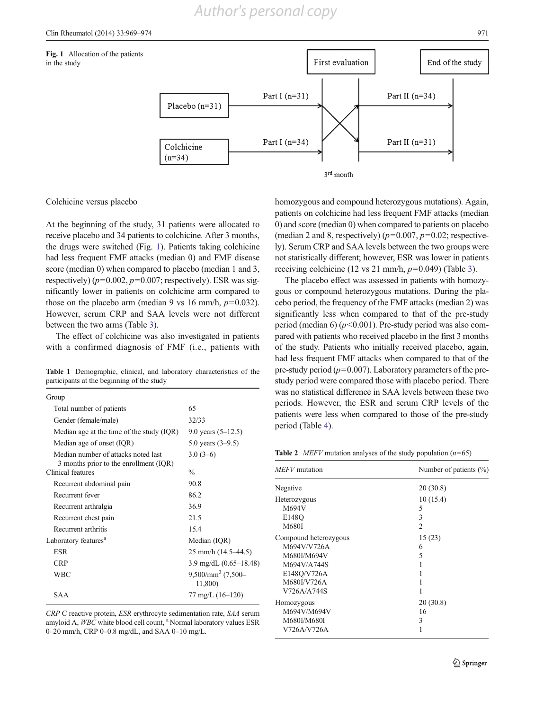

Colchicine versus placebo

At the beginning of the study, 31 patients were allocated to receive placebo and 34 patients to colchicine. After 3 months, the drugs were switched (Fig. 1). Patients taking colchicine had less frequent FMF attacks (median 0) and FMF disease score (median 0) when compared to placebo (median 1 and 3, respectively)  $(p=0.002, p=0.007$ ; respectively). ESR was significantly lower in patients on colchicine arm compared to those on the placebo arm (median 9 vs 16 mm/h,  $p=0.032$ ). However, serum CRP and SAA levels were not different between the two arms (Table 3).

The effect of colchicine was also investigated in patients with a confirmed diagnosis of FMF (i.e., patients with

Table 1 Demographic, clinical, and laboratory characteristics of the participants at the beginning of the study

| Group                                                                         |                                        |
|-------------------------------------------------------------------------------|----------------------------------------|
| Total number of patients                                                      | 65                                     |
| Gender (female/male)                                                          | 32/33                                  |
| Median age at the time of the study (IQR)                                     | 9.0 years $(5-12.5)$                   |
| Median age of onset (IQR)                                                     | 5.0 years $(3-9.5)$                    |
| Median number of attacks noted last<br>3 months prior to the enrollment (IQR) | $3.0(3-6)$                             |
| Clinical features                                                             | $\frac{0}{0}$                          |
| Recurrent abdominal pain                                                      | 90.8                                   |
| Recurrent fever                                                               | 86.2                                   |
| Recurrent arthralgia                                                          | 36.9                                   |
| Recurrent chest pain                                                          | 21.5                                   |
| Recurrent arthritis                                                           | 15.4                                   |
| Laboratory features <sup>a</sup>                                              | Median (IQR)                           |
| ESR                                                                           | $25$ mm/h $(14.5 - 44.5)$              |
| <b>CRP</b>                                                                    | 3.9 mg/dL $(0.65-18.48)$               |
| WBC                                                                           | $9,500/\text{mm}^3$ (7,500-<br>11,800) |
| <b>SAA</b>                                                                    | $77 \text{ mg/L}$ (16–120)             |

CRP C reactive protein, ESR erythrocyte sedimentation rate, SAA serum amyloid A, WBC white blood cell count, <sup>a</sup> Normal laboratory values ESR 0–20 mm/h, CRP 0–0.8 mg/dL, and SAA 0–10 mg/L.

homozygous and compound heterozygous mutations). Again, patients on colchicine had less frequent FMF attacks (median 0) and score (median 0) when compared to patients on placebo (median 2 and 8, respectively) ( $p=0.007$ ,  $p=0.02$ ; respectively). Serum CRP and SAA levels between the two groups were not statistically different; however, ESR was lower in patients receiving colchicine (12 vs 21 mm/h,  $p=0.049$ ) (Table 3).

The placebo effect was assessed in patients with homozygous or compound heterozygous mutations. During the placebo period, the frequency of the FMF attacks (median 2) was significantly less when compared to that of the pre-study period (median 6) ( $p$ <0.001). Pre-study period was also compared with patients who received placebo in the first 3 months of the study. Patients who initially received placebo, again, had less frequent FMF attacks when compared to that of the pre-study period ( $p=0.007$ ). Laboratory parameters of the prestudy period were compared those with placebo period. There was no statistical difference in SAA levels between these two periods. However, the ESR and serum CRP levels of the patients were less when compared to those of the pre-study period (Table 4).

**Table 2** *MEFV* mutation analyses of the study population  $(n=65)$ 

| MEFV mutation         | Number of patients $(\% )$ |
|-----------------------|----------------------------|
| Negative              | 20(30.8)                   |
| Heterozygous          | 10(15.4)                   |
| M694V                 | 5                          |
| E148O                 | 3                          |
| M680I                 | 2                          |
| Compound heterozygous | 15(23)                     |
| M694V/V726A           | 6                          |
| M680I/M694V           | 5                          |
| M694V/A744S           |                            |
| E148O/V726A           |                            |
| M680I/V726A           |                            |
| V726A/A744S           |                            |
| Homozygous            | 20(30.8)                   |
| M694V/M694V           | 16                         |
| M680I/M680I           | 3                          |
| V726A/V726A           |                            |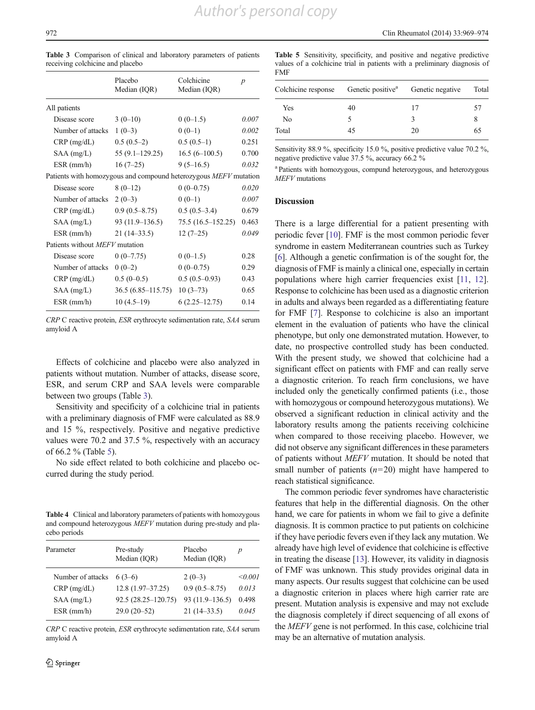|                                                                  | Placebo<br>Median (IQR) | Colchicine<br>Median (IQR) | $\boldsymbol{p}$ |
|------------------------------------------------------------------|-------------------------|----------------------------|------------------|
| All patients                                                     |                         |                            |                  |
| Disease score                                                    | $3(0-10)$               | $0(0-1.5)$                 | 0.007            |
| Number of attacks                                                | $1(0-3)$                | $0(0-1)$                   | 0.002            |
| $CRP$ (mg/dL)                                                    | $0.5(0.5-2)$            | $0.5(0.5-1)$               | 0.251            |
| $SAA$ (mg/L)                                                     | $55(9.1-129.25)$        | $16.5(6-100.5)$            | 0.700            |
| $ESR$ (mm/h)                                                     | $16(7-25)$              | $9(5-16.5)$                | 0.032            |
| Patients with homozygous and compound heterozygous MEFV mutation |                         |                            |                  |
| Disease score                                                    | $8(0-12)$               | $0(0-0.75)$                | 0.020            |
| Number of attacks                                                | $2(0-3)$                | $0(0-1)$                   | 0.007            |
| $CRP$ (mg/dL)                                                    | $0.9(0.5 - 8.75)$       | $0.5(0.5-3.4)$             | 0.679            |
| $SAA$ (mg/L)                                                     | $93(11.9-136.5)$        | $75.5(16.5-152.25)$        | 0.463            |
| $ESR$ (mm/h)                                                     | $21(14-33.5)$           | $12(7-25)$                 | 0.049            |
| Patients without <i>MEFV</i> mutation                            |                         |                            |                  |
| Disease score                                                    | $0(0-7.75)$             | $0(0-1.5)$                 | 0.28             |
| Number of attacks                                                | $0(0-2)$                | $0(0-0.75)$                | 0.29             |
| $CRP$ (mg/dL)                                                    | $0.5(0-0.5)$            | $0.5(0.5-0.93)$            | 0.43             |
| $SAA$ (mg/L)                                                     | $36.5(6.85-115.75)$     | $10(3-73)$                 | 0.65             |
| $ESR$ (mm/h)                                                     | $10(4.5-19)$            | $6(2.25-12.75)$            | 0.14             |
|                                                                  |                         |                            |                  |

Table 3 Comparison of clinical and laboratory parameters of patients receiving colchicine and placebo

CRP C reactive protein, ESR erythrocyte sedimentation rate, SAA serum amyloid A

Effects of colchicine and placebo were also analyzed in patients without mutation. Number of attacks, disease score, ESR, and serum CRP and SAA levels were comparable between two groups (Table 3).

Sensitivity and specificity of a colchicine trial in patients with a preliminary diagnosis of FMF were calculated as 88.9 and 15 %, respectively. Positive and negative predictive values were 70.2 and 37.5 %, respectively with an accuracy of 66.2 % (Table 5).

No side effect related to both colchicine and placebo occurred during the study period.

Table 4 Clinical and laboratory parameters of patients with homozygous and compound heterozygous MEFV mutation during pre-study and placebo periods

| Parameter         | Pre-study<br>Median (IQR) | Placebo<br>Median (IQR) | p       |
|-------------------|---------------------------|-------------------------|---------|
| Number of attacks | $6(3-6)$                  | $2(0-3)$                | < 0.001 |
| $CRP$ (mg/dL)     | $12.8(1.97-37.25)$        | $0.9(0.5 - 8.75)$       | 0.013   |
| $SAA$ (mg/L)      | $92.5(28.25-120.75)$      | $93(11.9-136.5)$        | 0.498   |
| $ESR$ (mm/h)      | $29.0(20-52)$             | $21(14-33.5)$           | 0.045   |

CRP C reactive protein, ESR erythrocyte sedimentation rate, SAA serum amyloid A

Table 5 Sensitivity, specificity, and positive and negative predictive values of a colchicine trial in patients with a preliminary diagnosis of FMF

| Colchicine response Genetic positive <sup>a</sup> Genetic negative |    |    | Total |
|--------------------------------------------------------------------|----|----|-------|
| Yes                                                                | 40 | 17 | 57    |
| No                                                                 |    | κ  | 8     |
| Total                                                              | 45 | 20 | 65    |
|                                                                    |    |    |       |

Sensitivity 88.9 %, specificity 15.0 %, positive predictive value 70.2 %. negative predictive value 37.5 %, accuracy 66.2 %

a Patients with homozygous, compund heterozygous, and heterozygous MEFV mutations

#### Discussion

There is a large differential for a patient presenting with periodic fever [10]. FMF is the most common periodic fever syndrome in eastern Mediterranean countries such as Turkey [6]. Although a genetic confirmation is of the sought for, the diagnosis of FMF is mainly a clinical one, especially in certain populations where high carrier frequencies exist [11, 12]. Response to colchicine has been used as a diagnostic criterion in adults and always been regarded as a differentiating feature for FMF [7]. Response to colchicine is also an important element in the evaluation of patients who have the clinical phenotype, but only one demonstrated mutation. However, to date, no prospective controlled study has been conducted. With the present study, we showed that colchicine had a significant effect on patients with FMF and can really serve a diagnostic criterion. To reach firm conclusions, we have included only the genetically confirmed patients (i.e., those with homozygous or compound heterozygous mutations). We observed a significant reduction in clinical activity and the laboratory results among the patients receiving colchicine when compared to those receiving placebo. However, we did not observe any significant differences in these parameters of patients without MEFV mutation. It should be noted that small number of patients  $(n=20)$  might have hampered to reach statistical significance.

The common periodic fever syndromes have characteristic features that help in the differential diagnosis. On the other hand, we care for patients in whom we fail to give a definite diagnosis. It is common practice to put patients on colchicine if they have periodic fevers even if they lack any mutation. We already have high level of evidence that colchicine is effective in treating the disease [13]. However, its validity in diagnosis of FMF was unknown. This study provides original data in many aspects. Our results suggest that colchicine can be used a diagnostic criterion in places where high carrier rate are present. Mutation analysis is expensive and may not exclude the diagnosis completely if direct sequencing of all exons of the MEFV gene is not performed. In this case, colchicine trial may be an alternative of mutation analysis.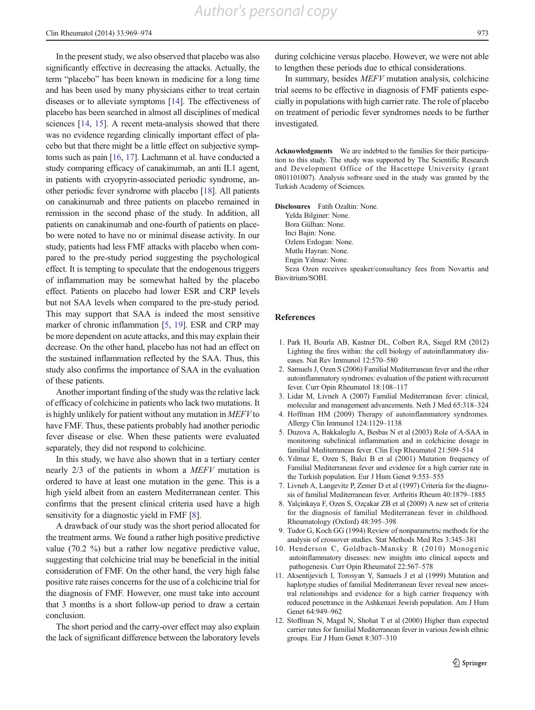In the present study, we also observed that placebo was also significantly effective in decreasing the attacks. Actually, the term "placebo" has been known in medicine for a long time and has been used by many physicians either to treat certain diseases or to alleviate symptoms [14]. The effectiveness of placebo has been searched in almost all disciplines of medical sciences [14, 15]. A recent meta-analysis showed that there was no evidence regarding clinically important effect of placebo but that there might be a little effect on subjective symptoms such as pain [16, 17]. Lachmann et al. have conducted a study comparing efficacy of canakinumab, an anti IL1 agent, in patients with cryopyrin-associated periodic syndrome, another periodic fever syndrome with placebo [18]. All patients on canakinumab and three patients on placebo remained in remission in the second phase of the study. In addition, all patients on canakinumab and one-fourth of patients on placebo were noted to have no or minimal disease activity. In our study, patients had less FMF attacks with placebo when compared to the pre-study period suggesting the psychological effect. It is tempting to speculate that the endogenous triggers of inflammation may be somewhat halted by the placebo effect. Patients on placebo had lower ESR and CRP levels but not SAA levels when compared to the pre-study period. This may support that SAA is indeed the most sensitive marker of chronic inflammation [5, 19]. ESR and CRP may be more dependent on acute attacks, and this may explain their decrease. On the other hand, placebo has not had an effect on the sustained inflammation reflected by the SAA. Thus, this study also confirms the importance of SAA in the evaluation of these patients.

Another important finding of the study was the relative lack of efficacy of colchicine in patients who lack two mutations. It is highly unlikely for patient without any mutation in MEFV to have FMF. Thus, these patients probably had another periodic fever disease or else. When these patients were evaluated separately, they did not respond to colchicine.

In this study, we have also shown that in a tertiary center nearly 2/3 of the patients in whom a MEFV mutation is ordered to have at least one mutation in the gene. This is a high yield albeit from an eastern Mediterranean center. This confirms that the present clinical criteria used have a high sensitivity for a diagnostic yield in FMF [8].

A drawback of our study was the short period allocated for the treatment arms. We found a rather high positive predictive value (70.2 %) but a rather low negative predictive value, suggesting that colchicine trial may be beneficial in the initial consideration of FMF. On the other hand, the very high false positive rate raises concerns for the use of a colchicine trial for the diagnosis of FMF. However, one must take into account that 3 months is a short follow-up period to draw a certain conclusion.

The short period and the carry-over effect may also explain the lack of significant difference between the laboratory levels during colchicine versus placebo. However, we were not able to lengthen these periods due to ethical considerations.

In summary, besides MEFV mutation analysis, colchicine trial seems to be effective in diagnosis of FMF patients especially in populations with high carrier rate. The role of placebo on treatment of periodic fever syndromes needs to be further investigated.

Acknowledgments We are indebted to the families for their participation to this study. The study was supported by The Scientific Research and Development Office of the Hacettepe University (grant 0801101007). Analysis software used in the study was granted by the Turkish Academy of Sciences.

Disclosures Fatih Ozaltin: None.

Yelda Bilginer: None.

Bora Gülhan: None. Inci Bajin: None.

Ozlem Erdogan: None.

Mutlu Hayran: None.

Engin Yılmaz: None.

Seza Ozen receives speaker/consultancy fees from Novartis and Biovitrium/SOBI.

#### References

- 1. Park H, Bourla AB, Kastner DL, Colbert RA, Siegel RM (2012) Lighting the fires within: the cell biology of autoinflammatory diseases. Nat Rev Immunol 12:570–580
- 2. Samuels J, Ozen S (2006) Familial Mediterranean fever and the other autoinflammatory syndromes: evaluation of the patient with recurrent fever. Curr Opin Rheumatol 18:108–117
- 3. Lidar M, Livneh A (2007) Familial Mediterranean fever: clinical, molecular and management advancements. Neth J Med 65:318–324
- 4. Hoffman HM (2009) Therapy of autoinflammatory syndromes. Allergy Clin Immunol 124:1129–1138
- 5. Duzova A, Bakkaloglu A, Besbas N et al (2003) Role of A-SAA in monitoring subclinical inflammation and in colchicine dosage in familial Mediterranean fever. Clin Exp Rheumatol 21:509–514
- 6. Yılmaz E, Ozen S, Balci B et al (2001) Mutation frequency of Familial Mediterranean fever and evidence for a high carrier rate in the Turkish population. Eur J Hum Genet 9:553–555
- 7. Livneh A, Langevitz P, Zemer D et al (1997) Criteria for the diagnosis of familial Mediterranean fever. Arthritis Rheum 40:1879–1885
- 8. Yalçinkaya F, Ozen S, Ozçakar ZB et al (2009) A new set of criteria for the diagnosis of familial Mediterranean fever in childhood. Rheumatology (Oxford) 48:395–398
- 9. Tudor G, Koch GG (1994) Review of nonparametric methods for the analysis of crossover studies. Stat Methods Med Res 3:345–381
- 10. Henderson C, Goldbach-Mansky R (2010) Monogenic autoinflammatory diseases: new insights into clinical aspects and pathogenesis. Curr Opin Rheumatol 22:567–578
- 11. Aksentijevich I, Torosyan Y, Samuels J et al (1999) Mutation and haplotype studies of familial Mediterranean fever reveal new ancestral relationships and evidence for a high carrier frequency with reduced penetrance in the Ashkenazi Jewish population. Am J Hum Genet 64:949–962
- 12. Stoffman N, Magal N, Shohat T et al (2000) Higher than expected carrier rates for familial Mediterranean fever in various Jewish ethnic groups. Eur J Hum Genet 8:307–310